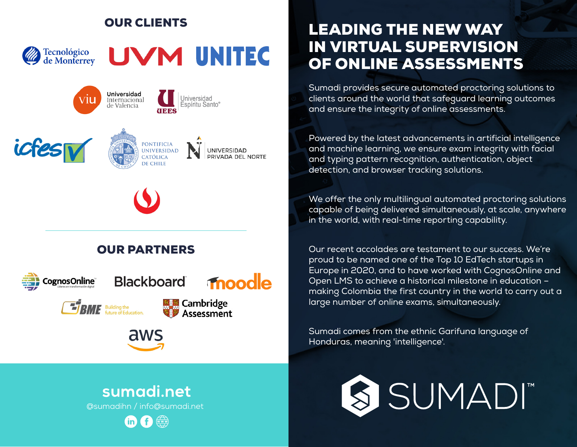### OUR CLIENTS



# UVM UNITEC





### OUR PARTNERS







# LEADING THE NEW WAY IN VIRTUAL SUPERVISION OF ONLINE ASSESSMENTS

Sumadi provides secure automated proctoring solutions to clients around the world that safeguard learning outcomes and ensure the integrity of online assessments.

Powered by the latest advancements in artificial intelligence and machine learning, we ensure exam integrity with facial and typing pattern recognition, authentication, object detection, and browser tracking solutions.

We offer the only multilingual automated proctoring solutions capable of being delivered simultaneously, at scale, anywhere in the world, with real-time reporting capability.

Our recent accolades are testament to our success. We're proud to be named one of the Top 10 EdTech startups in Europe in 2020, and to have worked with CognosOnline and Open LMS to achieve a historical milestone in education – making Colombia the first country in the world to carry out a large number of online exams, simultaneously.

Sumadi comes from the ethnic Garifuna language of Honduras, meaning 'intelligence'.



## sumadi.net

aws

@sumadihn / info@sumadi.net